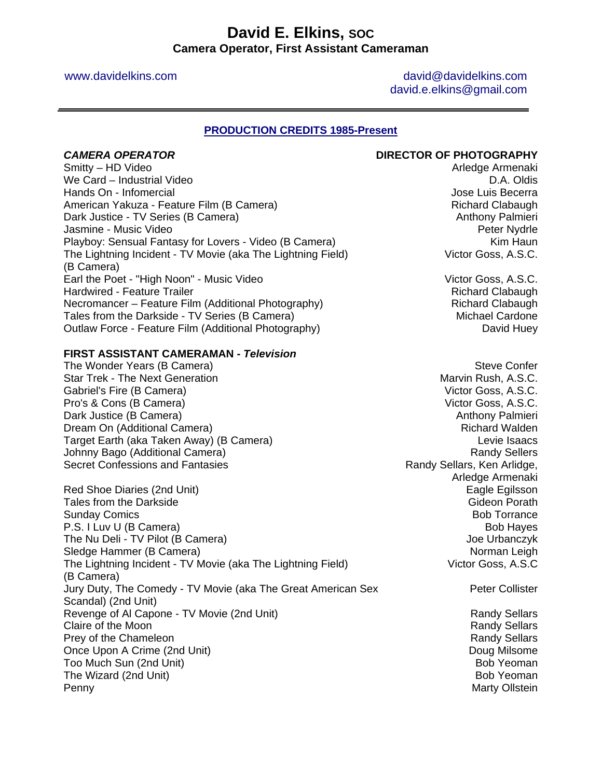# **David E. Elkins, SOC Camera Operator, First Assistant Cameraman**

www.davidelkins.com and a view of the david and david and david and davidelkins.com david.e.elkins@gmail.com

### **PRODUCTION CREDITS 1985-Present**

### **CAMERA OPERATOR CAMERA OPERATOR**

Smitty – HD Video **Arledge Armenaki** We Card – Industrial Video **D.A.** Oldis Hands On - Infomercial Jose Luis Becerra American Yakuza - Feature Film (B Camera) Manus American American Clabaugh Dark Justice - TV Series (B Camera) Anthony Palmieri Jasmine - Music Video Peter Nydrle Playboy: Sensual Fantasy for Lovers - Video (B Camera) Manus And Manus Kim Haun The Lightning Incident - TV Movie (aka The Lightning Field) (B Camera) Earl the Poet - "High Noon" - Music Video Victor Goss, A.S.C. Hardwired - Feature Trailer Richard Clabaugh Necromancer – Feature Film (Additional Photography) Richard Clabaugh Richard Clabaugh Tales from the Darkside - TV Series (B Camera) Michael Cardone Outlaw Force - Feature Film (Additional Photography) David Huey

### **FIRST ASSISTANT CAMERAMAN -** *Television*

The Wonder Years (B Camera) Steve Confer Star Trek - The Next Generation Marvin Rush, A.S.C. Gabriel's Fire (B Camera) Victor Goss, A.S.C. Pro's & Cons (B Camera) Victor Goss, A.S.C. Dark Justice (B Camera) **Anthony Palmieri** Anthony Palmieri Dream On (Additional Camera) **Richard Walden** Bream Controllering and Richard Walden Target Earth (aka Taken Away) (B Camera) Levie Isaacs Johnny Bago (Additional Camera) Randy Sellers and Camera and Camera and Camera and Camera and Camera and Camera Secret Confessions and Fantasies **Randy Sellars**, Ken Arlidge,

Red Shoe Diaries (2nd Unit) Eagle Egilsson Controller Shoe Diaries (2nd Unit) Eagle Egilsson Tales from the Darkside Gideon Porath Control of the Gideon Porath Control of the Gideon Porath Control of the Gideon Porath Control of the Gideon Porath Control of the Gideon Porath Control of the Gideon Porath Control of Sunday Comics **Bob Torrance** Bob Torrance **Bob Torrance** P.S. I Luv U (B Camera) and the state of the state of the state of the state of the state of the state of the state of the state of the state of the state of the state of the state of the state of the state of the state of The Nu Deli - TV Pilot (B Camera) Joe Urbanczyk Sledge Hammer (B Camera) Norman Leigh The Lightning Incident - TV Movie (aka The Lightning Field) (B Camera) Jury Duty, The Comedy - TV Movie (aka The Great American Sex Scandal) (2nd Unit) Revenge of Al Capone - TV Movie (2nd Unit) Revenue Communication Capacity Randy Sellars Claire of the Moon **Claire of the Moon**<br>
Prev of the Chameleon **Randy Sellars** Prey of the Chameleon Once Upon A Crime (2nd Unit) **Doug Milsome Doug Milsome Doug Milsome** Too Much Sun (2nd Unit) Bob Yeoman Bob Yeoman Bob Yeoman Bob Yeoman Bob Yeoman Bob Yeoman The Wizard (2nd Unit) Bob Yeoman Bob Yeoman Penny Marty Ollstein and The Penny Marty Ollstein and The Penny Marty Ollstein and The Penny Marty Ollstein and The Penny Marty Ollstein and The Penny Marty Ollstein and The Penny Marty Ollstein and The Penny Marty Ollstei

Victor Goss, A.S.C.

Arledge Armenaki Victor Goss, A.S.C Peter Collister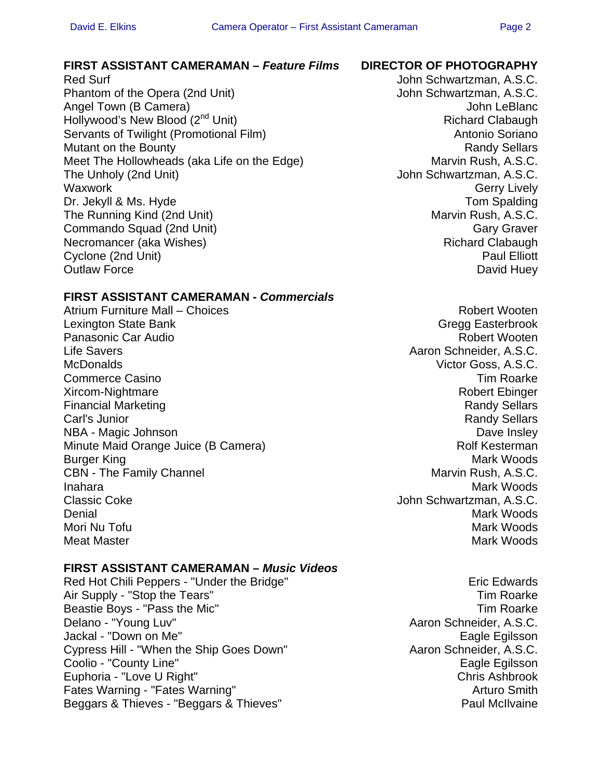### **FIRST ASSISTANT CAMERAMAN –** *Feature Films* **DIRECTOR OF PHOTOGRAPHY**

Red Surf **New Schwartzman, A.S.C. Red Surf** John Schwartzman, A.S.C. Phantom of the Opera (2nd Unit) John Schwartzman, A.S.C. Angel Town (B Camera) and the state of the state of the state of the state of the state of the state of the state of the state of the state of the state of the state of the state of the state of the state of the state of t Hollywood's New Blood (2<sup>nd</sup> Unit) Richard Clabaugh Servants of Twilight (Promotional Film) Servants of Twilight (Promotional Film) Mutant on the Bounty **Randy Sellars Randy Sellars Randy Sellars** Meet The Hollowheads (aka Life on the Edge) Marvin Rush, A.S.C. The Unholy (2nd Unit) The Unholy (2nd Unit) Schwartzman, A.S.C. Waxwork **Gerry Lively** Dr. Jekyll & Ms. Hyde Tom Spalding The Running Kind (2nd Unit) The Running Kind (2nd Unit) Commando Squad (2nd Unit) Gary Graver Commando Squad (2nd Unit) Necromancer (aka Wishes) Richard Clabaugh Richard Clabaugh Cyclone (2nd Unit) **Paul Elliott** Outlaw Force David Huey

## **FIRST ASSISTANT CAMERAMAN -** *Commercials*

Atrium Furniture Mall – Choices **Robert Wooten** Robert Wooten **Lexington State Bank** Gregg Easterbrook Panasonic Car Audio **Robert Wooten Panasonic Car Audio** Robert Wooten Life Savers **Access 2018** 2019 12:30 Aaron Schneider, A.S.C. McDonalds Victor Goss, A.S.C. Commerce Casino **Tim Roarke** Commerce Casino **Tim Roarke** Commerce Casino **Tim Roarke** Xircom-Nightmare Robert Ebinger Financial Marketing **Randy Sellars** Randy Sellars **Randy Sellars** Carl's Junior Randy Sellars NBA - Magic Johnson **Dave Insley** Minute Maid Orange Juice (B Camera) Minute Molf Kesterman Burger King Mark Woods and the Mark Woods of the Mark Woods of the Mark Woods of the Mark Woods of the Mark Woods of the Mark Woods of the Mark Woods of the Mark Woods of the Mark Woods of the Mark Moods of the Mark Moods CBN - The Family Channel **CBN** - The Family Channel Inahara Mark Woods (1999) and the settlement of the settlement of the Mark Woods (1999) and the Mark Woods (19 Classic Coke **John Schwartzman, A.S.C.** Denial Mark Woods **Denial** Mark Woods **Contract Contract Contract Contract Contract Contract Contract Contract Contract Contract Contract Contract Contract Contract Contract Contract Contract Contract Contract Contract Con** Mori Nu Tofu Mark Woods Meat Master Mathematic Secret And American Control of the Mark Woods Mark Woods Mathematic Secret And American Control of the Mathematic Secret And American Control of the Mathematic Secret And American Control of the Math

## **FIRST ASSISTANT CAMERAMAN –** *Music Videos*

Red Hot Chili Peppers - "Under the Bridge" Network and Eric Edwards Air Supply - "Stop the Tears" Tim Roarke Beastie Boys - "Pass the Mic" end and the Michael Seastie Boys - "Pass the Mic" and the Michael Seastle Boys A<br>Tim Roarke Delano - "Young Luv" end and the Michael Seastle Boys Aaron Schneider, A.S.C. Jackal - "Down on Me" extending the state of the state of the Eagle Egilsson Cypress Hill - "When the Ship Goes Down" Aaron Schneider, A.S.C. Coolio - "County Line" et al. 2016 and 2017 and 2018 and 2019 and 2019 and 2019 and 2019 and 2019 and 2019 and 2019 and 2019 and 2019 and 2019 and 2019 and 2019 and 2019 and 2019 and 2019 and 2019 and 2019 and 2019 and 201 Euphoria - "Love U Right" Chris Ashbrook Fates Warning - "Fates Warning" Arturo Smith Beggars & Thieves - "Beggars & Thieves" examples a part of the Paul McIlvaine

Aaron Schneider, A.S.C.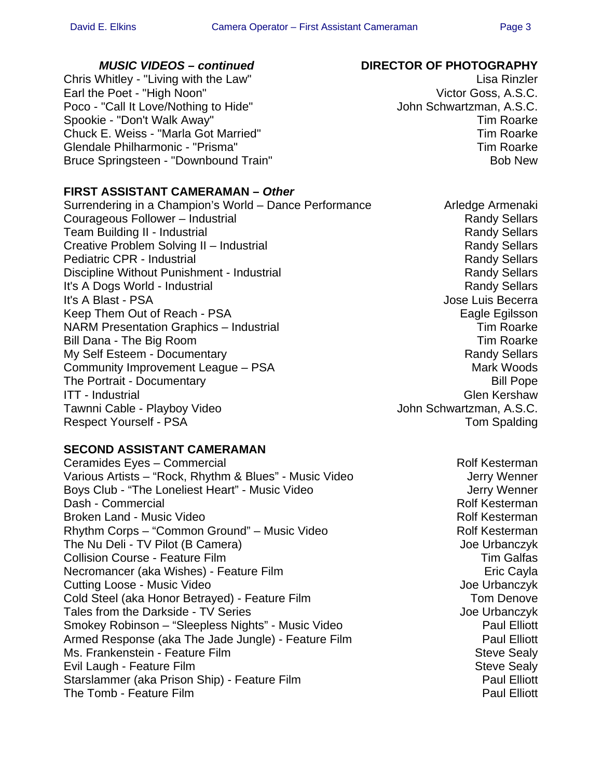Chris Whitley - "Living with the Law" Chris Whitley - "Lisa Rinzler" Earl the Poet - "High Noon" Case of the Victor Goss, A.S.C. Poco - "Call It Love/Nothing to Hide" John Schwartzman, A.S.C. Spookie - "Don't Walk Away" New York Changes and Spookie - "Don't Walk Away" New York Changes and Tim Roarke Chuck E. Weiss - "Marla Got Married" New York 1997 1998 Tim Roarke Glendale Philharmonic - "Prisma" Tim Roarke Bruce Springsteen - "Downbound Train" and the state of the Bob New

# *MUSIC VIDEOS – continued* **DIRECTOR OF PHOTOGRAPHY**

# **FIRST ASSISTANT CAMERAMAN –** *Other*

Surrendering in a Champion's World – Dance Performance **Arledge Armenaki** Courageous Follower – Industrial Randy Sellars Randy Sellars Team Building II - Industrial Randy Sellars and Randy Sellars Creative Problem Solving II – Industrial Randy Sellars Randy Sellars Pediatric CPR - Industrial **Randy Sellars** Randy Sellars Discipline Without Punishment - Industrial New York Changes and Randy Sellars It's A Dogs World - Industrial Randy Sellars and Randy Sellars It's A Blast - PSA **Internal and Contract Contract Contract Contract Contract Contract Contract Contract Contract Contract Contract Contract Contract Contract Contract Contract Contract Contract Contract Contract Contract** Keep Them Out of Reach - PSA Eagle Eqilsson NARM Presentation Graphics – Industrial The Control Control of Tim Roarke Bill Dana - The Big Room Tim Roarke My Self Esteem - Documentary **Randy Sellars** Randy Sellars Community Improvement League – PSA Mark Woods The Portrait - Documentary Bill Pope ITT - Industrial Glen Kershaw Tawnni Cable - Playboy Video John Schwartzman, A.S.C. Respect Yourself - PSA Tom Spalding

# **SECOND ASSISTANT CAMERAMAN**

Ceramides Eyes – Commercial Rolf Kesterman Various Artists – "Rock, Rhythm & Blues" - Music Video Jerry Wenner Boys Club - "The Loneliest Heart" - Music Video Jerry Wenner Dash - Commercial **National Rolf Kesterman** Broken Land - Music Video **Rolf American Control Control Control** Rolf Kesterman Rhythm Corps – "Common Ground" – Music Video Rolf Kesterman The Nu Deli - TV Pilot (B Camera) Joe Urbanczyk Collision Course - Feature Film Tim Galfas Necromancer (aka Wishes) - Feature Film **Example 2018** Eric Cayla Cutting Loose - Music Video Joe Urbanczyk Cold Steel (aka Honor Betrayed) - Feature Film Tom Denove Tales from the Darkside - TV Series Joe Urbanczyk Smokey Robinson – "Sleepless Nights" - Music Video Paul Elliott Armed Response (aka The Jade Jungle) - Feature Film Paul Elliott Ms. Frankenstein - Feature Film Steve Sealy Steve Sealy Evil Laugh - Feature Film Steve Sealy Steve Sealy Starslammer (aka Prison Ship) - Feature Film **Paul Elliott** Paul Elliott The Tomb - Feature Film **Paul Elliott Paul Elliott**